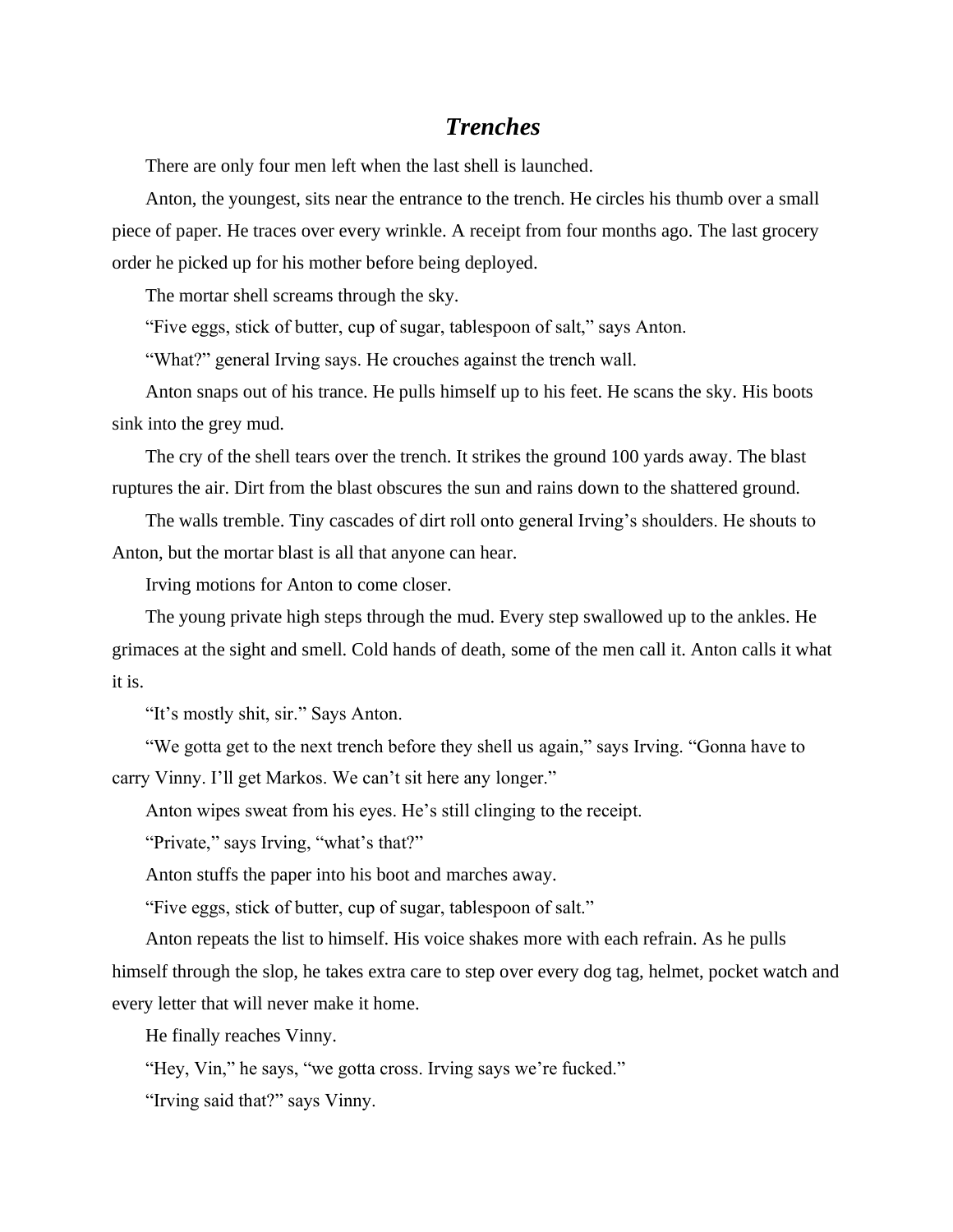## *Trenches*

There are only four men left when the last shell is launched.

Anton, the youngest, sits near the entrance to the trench. He circles his thumb over a small piece of paper. He traces over every wrinkle. A receipt from four months ago. The last grocery order he picked up for his mother before being deployed.

The mortar shell screams through the sky.

"Five eggs, stick of butter, cup of sugar, tablespoon of salt," says Anton.

"What?" general Irving says. He crouches against the trench wall.

Anton snaps out of his trance. He pulls himself up to his feet. He scans the sky. His boots sink into the grey mud.

The cry of the shell tears over the trench. It strikes the ground 100 yards away. The blast ruptures the air. Dirt from the blast obscures the sun and rains down to the shattered ground.

The walls tremble. Tiny cascades of dirt roll onto general Irving's shoulders. He shouts to Anton, but the mortar blast is all that anyone can hear.

Irving motions for Anton to come closer.

The young private high steps through the mud. Every step swallowed up to the ankles. He grimaces at the sight and smell. Cold hands of death, some of the men call it. Anton calls it what it is.

"It's mostly shit, sir." Says Anton.

"We gotta get to the next trench before they shell us again," says Irving. "Gonna have to carry Vinny. I'll get Markos. We can't sit here any longer."

Anton wipes sweat from his eyes. He's still clinging to the receipt.

"Private," says Irving, "what's that?"

Anton stuffs the paper into his boot and marches away.

"Five eggs, stick of butter, cup of sugar, tablespoon of salt."

Anton repeats the list to himself. His voice shakes more with each refrain. As he pulls himself through the slop, he takes extra care to step over every dog tag, helmet, pocket watch and every letter that will never make it home.

He finally reaches Vinny.

"Hey, Vin," he says, "we gotta cross. Irving says we're fucked."

"Irving said that?" says Vinny.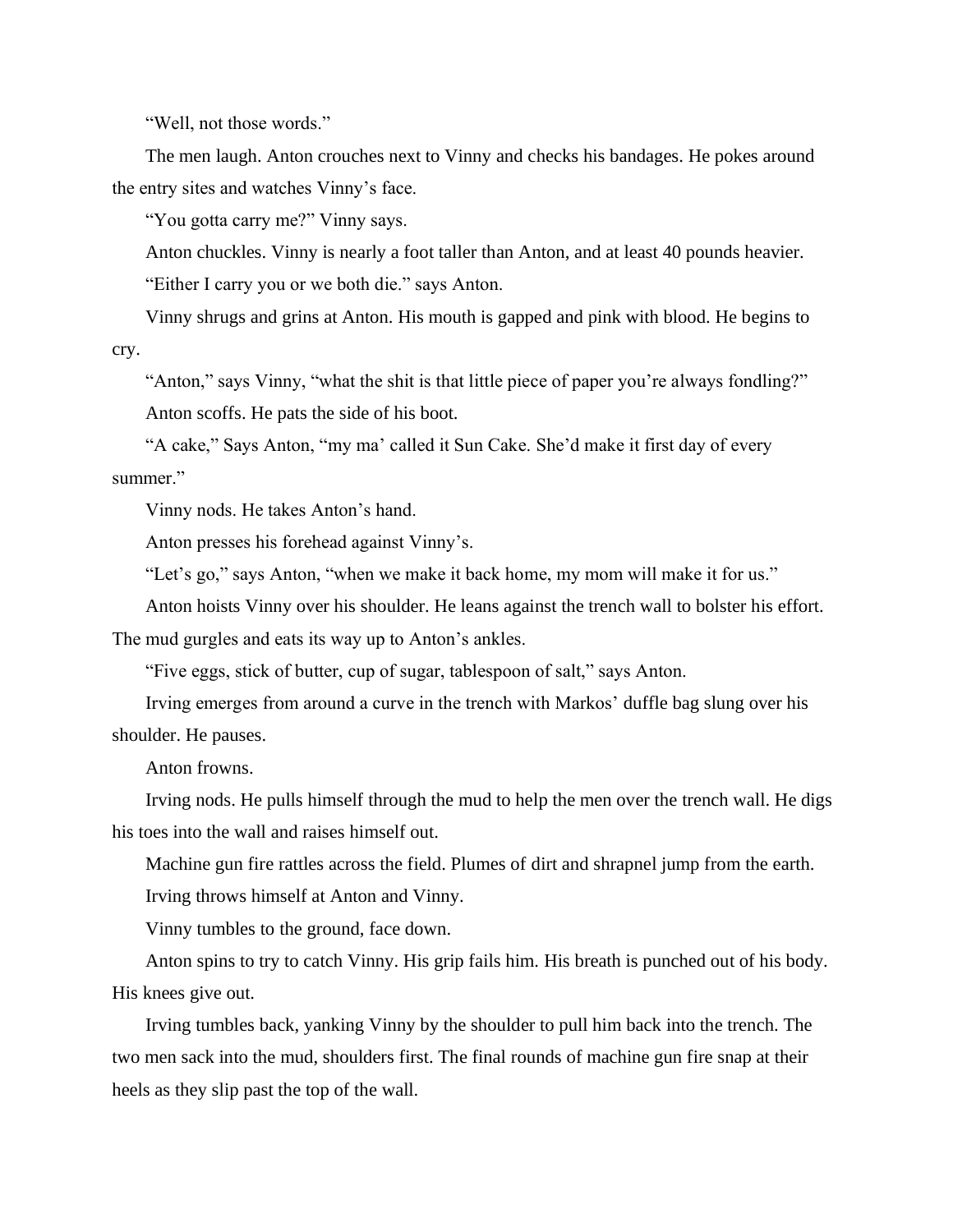"Well, not those words."

The men laugh. Anton crouches next to Vinny and checks his bandages. He pokes around the entry sites and watches Vinny's face.

"You gotta carry me?" Vinny says.

Anton chuckles. Vinny is nearly a foot taller than Anton, and at least 40 pounds heavier. "Either I carry you or we both die." says Anton.

Vinny shrugs and grins at Anton. His mouth is gapped and pink with blood. He begins to cry.

"Anton," says Vinny, "what the shit is that little piece of paper you're always fondling?" Anton scoffs. He pats the side of his boot.

"A cake," Says Anton, "my ma' called it Sun Cake. She'd make it first day of every summer."

Vinny nods. He takes Anton's hand.

Anton presses his forehead against Vinny's.

"Let's go," says Anton, "when we make it back home, my mom will make it for us."

Anton hoists Vinny over his shoulder. He leans against the trench wall to bolster his effort.

The mud gurgles and eats its way up to Anton's ankles.

"Five eggs, stick of butter, cup of sugar, tablespoon of salt," says Anton.

Irving emerges from around a curve in the trench with Markos' duffle bag slung over his shoulder. He pauses.

Anton frowns.

Irving nods. He pulls himself through the mud to help the men over the trench wall. He digs his toes into the wall and raises himself out.

Machine gun fire rattles across the field. Plumes of dirt and shrapnel jump from the earth.

Irving throws himself at Anton and Vinny.

Vinny tumbles to the ground, face down.

Anton spins to try to catch Vinny. His grip fails him. His breath is punched out of his body. His knees give out.

Irving tumbles back, yanking Vinny by the shoulder to pull him back into the trench. The two men sack into the mud, shoulders first. The final rounds of machine gun fire snap at their heels as they slip past the top of the wall.